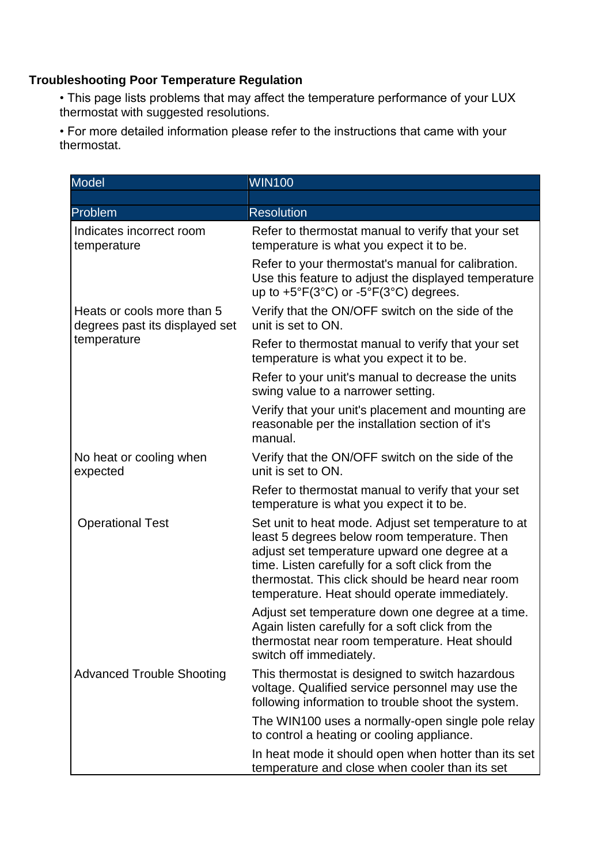## **Troubleshooting Poor Temperature Regulation**

• This page lists problems that may affect the temperature performance of your LUX thermostat with suggested resolutions.

• For more detailed information please refer to the instructions that came with your thermostat.

| <b>Model</b>                                                                | <b>WIN100</b>                                                                                                                                                                                                                                                                                                 |
|-----------------------------------------------------------------------------|---------------------------------------------------------------------------------------------------------------------------------------------------------------------------------------------------------------------------------------------------------------------------------------------------------------|
|                                                                             |                                                                                                                                                                                                                                                                                                               |
| Problem                                                                     | <b>Resolution</b>                                                                                                                                                                                                                                                                                             |
| Indicates incorrect room<br>temperature                                     | Refer to thermostat manual to verify that your set<br>temperature is what you expect it to be.                                                                                                                                                                                                                |
|                                                                             | Refer to your thermostat's manual for calibration.<br>Use this feature to adjust the displayed temperature<br>up to $+5^{\circ}F(3^{\circ}C)$ or $-5^{\circ}F(3^{\circ}C)$ degrees.                                                                                                                           |
| Heats or cools more than 5<br>degrees past its displayed set<br>temperature | Verify that the ON/OFF switch on the side of the<br>unit is set to ON.                                                                                                                                                                                                                                        |
|                                                                             | Refer to thermostat manual to verify that your set<br>temperature is what you expect it to be.                                                                                                                                                                                                                |
|                                                                             | Refer to your unit's manual to decrease the units<br>swing value to a narrower setting.                                                                                                                                                                                                                       |
|                                                                             | Verify that your unit's placement and mounting are<br>reasonable per the installation section of it's<br>manual.                                                                                                                                                                                              |
| No heat or cooling when<br>expected                                         | Verify that the ON/OFF switch on the side of the<br>unit is set to ON.                                                                                                                                                                                                                                        |
|                                                                             | Refer to thermostat manual to verify that your set<br>temperature is what you expect it to be.                                                                                                                                                                                                                |
| <b>Operational Test</b>                                                     | Set unit to heat mode. Adjust set temperature to at<br>least 5 degrees below room temperature. Then<br>adjust set temperature upward one degree at a<br>time. Listen carefully for a soft click from the<br>thermostat. This click should be heard near room<br>temperature. Heat should operate immediately. |
|                                                                             | Adjust set temperature down one degree at a time.<br>Again listen carefully for a soft click from the<br>thermostat near room temperature. Heat should<br>switch off immediately.                                                                                                                             |
| <b>Advanced Trouble Shooting</b>                                            | This thermostat is designed to switch hazardous<br>voltage. Qualified service personnel may use the<br>following information to trouble shoot the system.                                                                                                                                                     |
|                                                                             | The WIN100 uses a normally-open single pole relay<br>to control a heating or cooling appliance.                                                                                                                                                                                                               |
|                                                                             | In heat mode it should open when hotter than its set<br>temperature and close when cooler than its set                                                                                                                                                                                                        |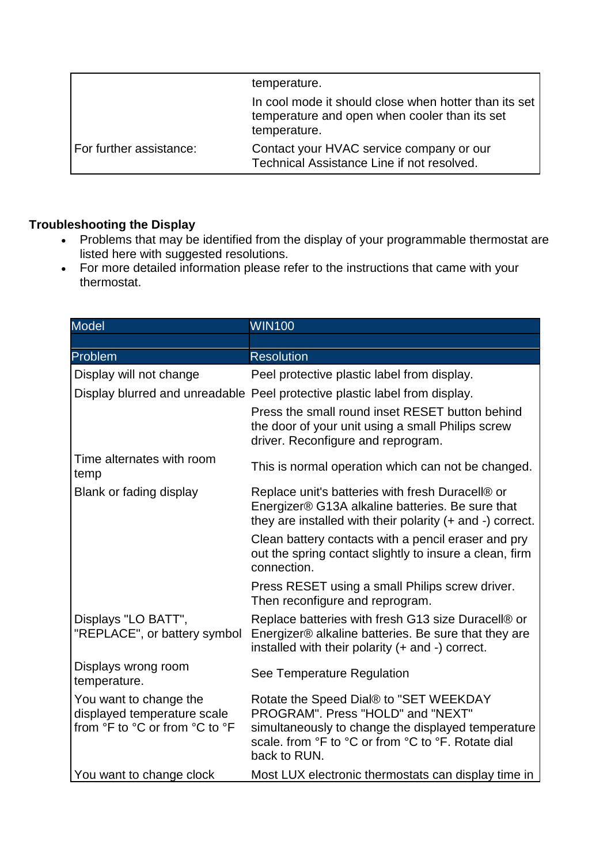|                         | temperature.                                                                                                           |
|-------------------------|------------------------------------------------------------------------------------------------------------------------|
|                         | In cool mode it should close when hotter than its set<br>temperature and open when cooler than its set<br>temperature. |
| For further assistance: | Contact your HVAC service company or our<br>Technical Assistance Line if not resolved.                                 |

## **Troubleshooting the Display**

- Problems that may be identified from the display of your programmable thermostat are listed here with suggested resolutions.
- For more detailed information please refer to the instructions that came with your thermostat.

| <b>Model</b>                                                                            | <b>WIN100</b>                                                                                                                                                                                           |
|-----------------------------------------------------------------------------------------|---------------------------------------------------------------------------------------------------------------------------------------------------------------------------------------------------------|
|                                                                                         |                                                                                                                                                                                                         |
| Problem                                                                                 | <b>Resolution</b>                                                                                                                                                                                       |
| Display will not change                                                                 | Peel protective plastic label from display.                                                                                                                                                             |
|                                                                                         | Display blurred and unreadable Peel protective plastic label from display.                                                                                                                              |
|                                                                                         | Press the small round inset RESET button behind<br>the door of your unit using a small Philips screw<br>driver. Reconfigure and reprogram.                                                              |
| Time alternates with room<br>temp                                                       | This is normal operation which can not be changed.                                                                                                                                                      |
| Blank or fading display                                                                 | Replace unit's batteries with fresh Duracell® or<br>Energizer® G13A alkaline batteries. Be sure that<br>they are installed with their polarity $(+)$ and $-)$ correct.                                  |
|                                                                                         | Clean battery contacts with a pencil eraser and pry<br>out the spring contact slightly to insure a clean, firm<br>connection.                                                                           |
|                                                                                         | Press RESET using a small Philips screw driver.<br>Then reconfigure and reprogram.                                                                                                                      |
| Displays "LO BATT",<br>"REPLACE", or battery symbol                                     | Replace batteries with fresh G13 size Duracell® or<br>Energizer® alkaline batteries. Be sure that they are<br>installed with their polarity (+ and -) correct.                                          |
| Displays wrong room<br>temperature.                                                     | See Temperature Regulation                                                                                                                                                                              |
| You want to change the<br>displayed temperature scale<br>from °F to °C or from °C to °F | Rotate the Speed Dial® to "SET WEEKDAY<br>PROGRAM". Press "HOLD" and "NEXT"<br>simultaneously to change the displayed temperature<br>scale. from °F to °C or from °C to °F. Rotate dial<br>back to RUN. |
| You want to change clock                                                                | Most LUX electronic thermostats can display time in                                                                                                                                                     |